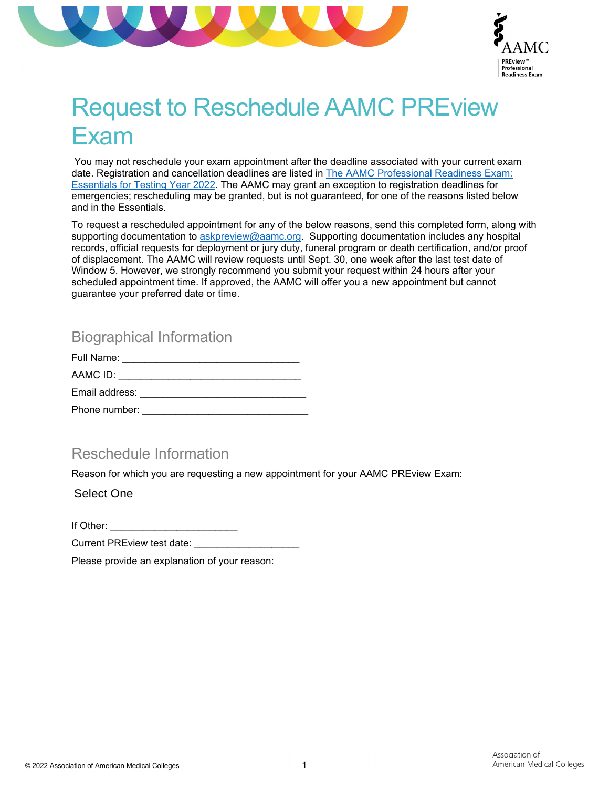



# Request to Reschedule AAMC PREview Exam

You may not reschedule your exam appointment after the deadline associated with your current exam date. Registration and cancellation deadlines are listed i[n The AAMC Professional Readiness Exam:](http://www.aamc.org/previewessentials)  [Essentials for Testing Year 2022.](http://www.aamc.org/previewessentials) The AAMC may grant an exception to registration deadlines for emergencies; rescheduling may be granted, but is not guaranteed, for one of the reasons listed below and in the Essentials.

To request a rescheduled appointment for any of the below reasons, send this completed form, along with supporting documentation to [askpreview@aamc.org.](mailto:askpreview@aamc.org) Supporting documentation includes any hospital records, official requests for deployment or jury duty, funeral program or death certification, and/or proof of displacement. The AAMC will review requests until Sept. 30, one week after the last test date of Window 5. However, we strongly recommend you submit your request within 24 hours after your scheduled appointment time. If approved, the AAMC will offer you a new appointment but cannot guarantee your preferred date or time.

## Biographical Information

| Full Name:     |  |
|----------------|--|
| AAMC ID:       |  |
| Email address: |  |
| Phone number:  |  |

#### Reschedule Information

Reason for which you are requesting a new appointment for your AAMC PREview Exam:

Select One

If Other:

Current PREview test date:

Please provide an explanation of your reason: